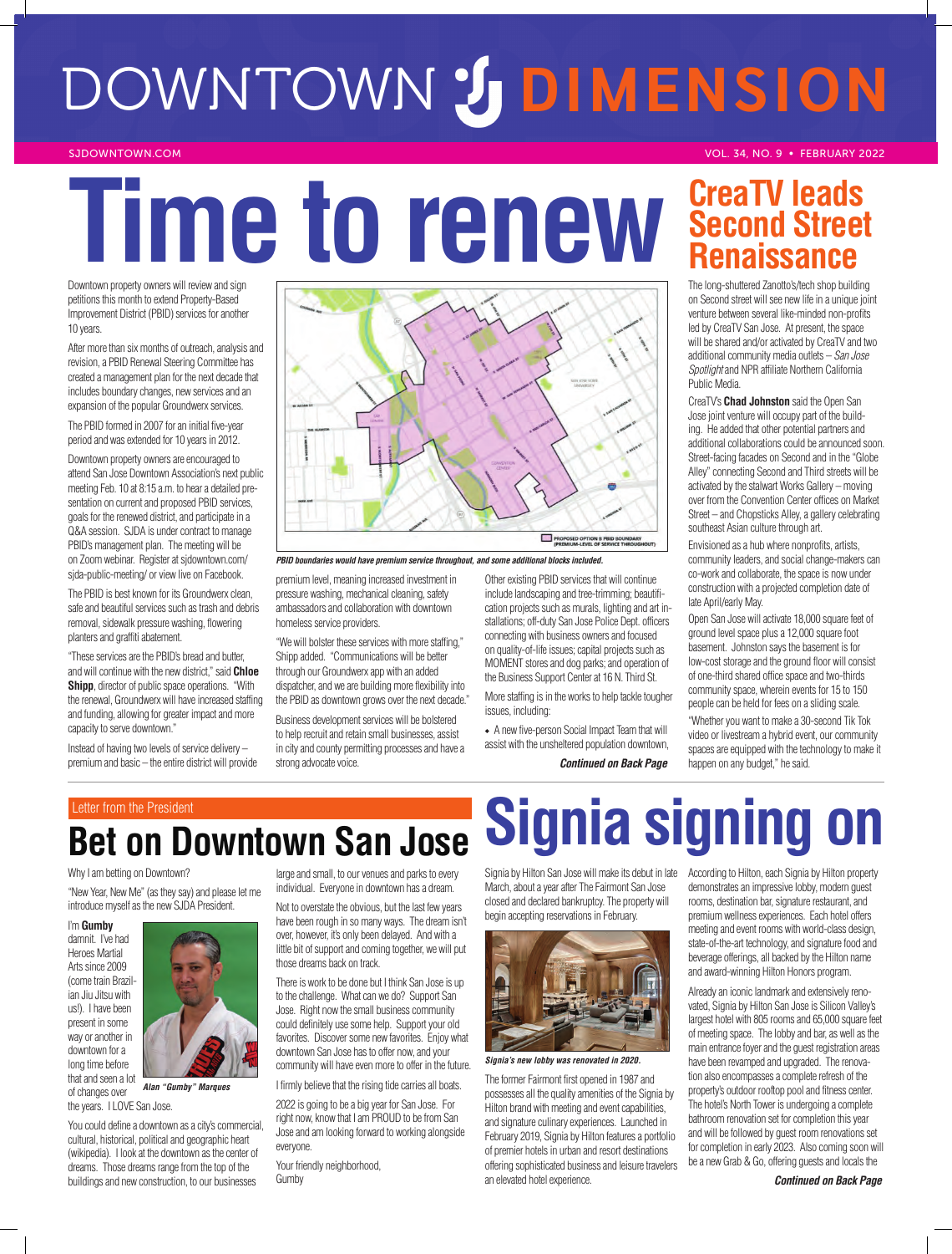# DOWNTOWN **DIMENSION**

SJDOWNTOWN.COM **VOL. 34, NO. 9 • FEBRUARY 2022** 

# **Time to renew Second Street**

Downtown property owners will review and sign petitions this month to extend Property-Based Improvement District (PBID) services for another 10 years.

After more than six months of outreach, analysis and revision, a PBID Renewal Steering Committee has created a management plan for the next decade that includes boundary changes, new services and an expansion of the popular Groundwerx services.

The PBID formed in 2007 for an initial five-year period and was extended for 10 years in 2012.

Downtown property owners are encouraged to attend San Jose Downtown Association's next public meeting Feb. 10 at 8:15 a.m. to hear a detailed presentation on current and proposed PBID services, goals for the renewed district, and participate in a Q&A session. SJDA is under contract to manage PBID's management plan. The meeting will be on Zoom webinar. Register at sjdowntown.com/ sjda-public-meeting/ or view live on Facebook.

The PBID is best known for its Groundwerx clean, safe and beautiful services such as trash and debris removal, sidewalk pressure washing, flowering planters and graffiti abatement.

"These services are the PBID's bread and butter, and will continue with the new district," said **Chloe Shipp**, director of public space operations. "With the renewal, Groundwerx will have increased staffing and funding, allowing for greater impact and more capacity to serve downtown."

Instead of having two levels of service delivery – premium and basic – the entire district will provide

# PROPOSED OPTION B PBID BOUN<br>(PREMIUM-LEVEL OF SERVICE TH

*PBID boundaries would have premium service throughout, and some additional blocks included.*

premium level, meaning increased investment in pressure washing, mechanical cleaning, safety ambassadors and collaboration with downtown homeless service providers.

"We will bolster these services with more staffing," Shipp added. "Communications will be better through our Groundwerx app with an added dispatcher, and we are building more flexibility into the PBID as downtown grows over the next decade."

Business development services will be bolstered to help recruit and retain small businesses, assist in city and county permitting processes and have a strong advocate voice.

Other existing PBID services that will continue include landscaping and tree-trimming; beautification projects such as murals, lighting and art installations; off-duty San Jose Police Dept. officers connecting with business owners and focused on quality-of-life issues; capital projects such as MOMENT stores and dog parks; and operation of the Business Support Center at 16 N. Third St.

More staffing is in the works to help tackle tougher issues, including:

• A new five-person Social Impact Team that will assist with the unsheltered population downtown, *Continued on Back Page*

# **Second Street Renaissance**

The long-shuttered Zanotto's/tech shop building on Second street will see new life in a unique joint venture between several like-minded non-profits led by CreaTV San Jose. At present, the space will be shared and/or activated by CreaTV and two additional community media outlets – *San Jose Spotlight* and NPR affiliate Northern California Public Media.

CreaTV's **Chad Johnston** said the Open San Jose joint venture will occupy part of the building. He added that other potential partners and additional collaborations could be announced soon. Street-facing facades on Second and in the "Globe Alley" connecting Second and Third streets will be activated by the stalwart Works Gallery – moving over from the Convention Center offices on Market Street – and Chopsticks Alley, a gallery celebrating southeast Asian culture through art.

Envisioned as a hub where nonprofits, artists, community leaders, and social change-makers can co-work and collaborate, the space is now under construction with a projected completion date of late April/early May.

Open San Jose will activate 18,000 square feet of ground level space plus a 12,000 square foot basement. Johnston says the basement is for low-cost storage and the ground floor will consist of one-third shared office space and two-thirds community space, wherein events for 15 to 150 people can be held for fees on a sliding scale.

"Whether you want to make a 30-second Tik Tok video or livestream a hybrid event, our community spaces are equipped with the technology to make it happen on any budget," he said.

# **Bet on Downtown San Jose**

# Why I am betting on Downtown?

"New Year, New Me" (as they say) and please let me introduce myself as the new SJDA President.

I'm **Gumby** damnit. I've had Heroes Martial Arts since 2009 (come train Brazilian Jiu Jitsu with us!). I have been present in some way or another in downtown for a long time before that and seen a lot of changes over



*Alan "Gumby" Marques*

the years. I LOVE San Jose. You could define a downtown as a city's commercial, cultural, historical, political and geographic heart (wikipedia). I look at the downtown as the center of dreams. Those dreams range from the top of the buildings and new construction, to our businesses

large and small, to our venues and parks to every individual. Everyone in downtown has a dream.

Not to overstate the obvious, but the last few years have been rough in so many ways. The dream isn't over, however, it's only been delayed. And with a little bit of support and coming together, we will put those dreams back on track.

There is work to be done but I think San Jose is up to the challenge. What can we do? Support San Jose. Right now the small business community could definitely use some help. Support your old favorites. Discover some new favorites. Enjoy what downtown San Jose has to offer now, and your community will have even more to offer in the future.

I firmly believe that the rising tide carries all boats.

2022 is going to be a big year for San Jose. For right now, know that I am PROUD to be from San Jose and am looking forward to working alongside everyone.

Your friendly neighborhood, Gumby

# Letter from the President **Signia Signia Signing**

March, about a year after The Fairmont San Jose closed and declared bankruptcy. The property will begin accepting reservations in February.



*Signia's new lobby was renovated in 2020.*

The former Fairmont first opened in 1987 and possesses all the quality amenities of the Signia by Hilton brand with meeting and event capabilities, and signature culinary experiences. Launched in February 2019, Signia by Hilton features a portfolio of premier hotels in urban and resort destinations offering sophisticated business and leisure travelers an elevated hotel experience.

Signia by Hilton San Jose will make its debut in late According to Hilton, each Signia by Hilton property demonstrates an impressive lobby, modern guest rooms, destination bar, signature restaurant, and premium wellness experiences. Each hotel offers meeting and event rooms with world-class design, state-of-the-art technology, and signature food and beverage offerings, all backed by the Hilton name and award-winning Hilton Honors program.

> Already an iconic landmark and extensively renovated, Signia by Hilton San Jose is Silicon Valley's largest hotel with 805 rooms and 65,000 square feet of meeting space. The lobby and bar, as well as the main entrance foyer and the guest registration areas have been revamped and upgraded. The renovation also encompasses a complete refresh of the property's outdoor rooftop pool and fitness center. The hotel's North Tower is undergoing a complete bathroom renovation set for completion this year and will be followed by guest room renovations set for completion in early 2023. Also coming soon will be a new Grab & Go, offering guests and locals the